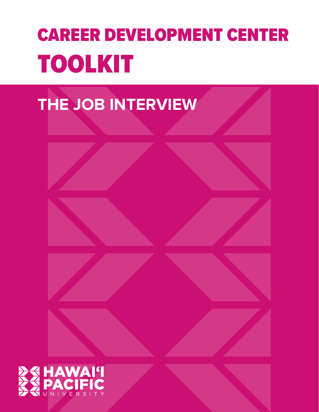# CAREER DEVELOPMENT CENTER TOOLKIT





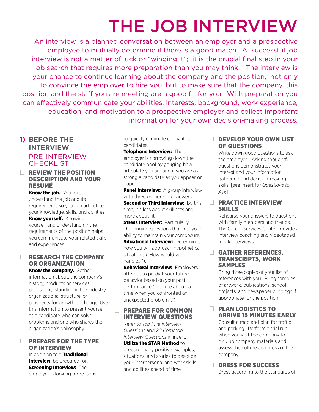# THE JOB INTERVIEW

An interview is a planned conversation between an employer and a prospective employee to mutually determine if there is a good match. A successful job interview is not a matter of luck or "winging it"; it is the crucial final step in your job search that requires more preparation than you may think. The interview is your chance to continue learning about the company and the position, not only to convince the employer to hire you, but to make sure that the company, this position and the staff you are meeting are a good fit for you. With preparation you can effectively communicate your abilities, interests, background, work experience, education, and motivation to a prospective employer and collect important information for your own decision-making process.

# **1) BEFORE THE INTERVIEW** PRE-INTERVIEW **CHECKLIST**

# **EXIEW THE POSITION** DESCRIPTION AND YOUR RÉSUMÉ

Know the job. You must understand the job and its requirements so you can articulate your knowledge, skills, and abilities.

**Know yourself.** Knowing yourself and understanding the requirements of the position helps you communicate your related skills and experiences.

#### RESEARCH THE COMPANY OR ORGANIZATION

**Know the company.** Gather information about: the company's history, products or services, philosophy, standing in the industry, organizational structure, or prospects for growth or change. Use this information to present yourself as a candidate who can solve problems and one who shares the organization's philosophy.

### **PREPARE FOR THE TYPE** OF INTERVIEW

In addition to a Traditional **Interview**, be prepared for: Screening Interview: The employer is looking for reasons

to quickly eliminate unqualified candidates.

#### Telephone Interview: The

employer is narrowing down the candidate pool by gauging how articulate you are and if you are as strong a candidate as you appear on paper.

**Panel Interview:** A group interview with three or more interviewers. Second or Third Interview: By this

time, it's less about skill sets and more about fit.

**Stress Interview: Particularly** challenging questions that test your ability to maintain your composure. **Situational Interview: Determines** how you will approach hypothetical situations ("How would you handle…").

**Behavioral Interview: Employers** attempt to predict your future behavior based on your past performance ("Tell me about a time when you confronted an unexpected problem…").

### **FREPARE FOR COMMON** INTERVIEW QUESTIONS

 Refer to *Top Five Interview Questions* and *20 Common Interview Questions* in insert.

Utilize the STAR Method to prepare many positive examples, situations, and stories to describe your interpersonal and work skills and abilities ahead of time.

#### DEVELOP YOUR OWN LIST OF QUESTIONS

 Write down good questions to ask the employer. Asking thoughtful questions demonstrates your interest and your informationgathering and decision-making skills. [see insert for *Questions to Ask*]

#### **EXPRECTICE INTERVIEW** SKILLS

 Rehearse your answers to questions with family members and friends. The Career Services Center provides interview coaching and videotaped mock interviews.

#### GATHER REFERENCES, TRANSCRIPTS, WORK SAMPLES

 Bring three copies of your list of references with you. Bring samples of artwork, publications, school projects, and newspaper clippings if appropriate for the position.

#### **DE PLAN LOGISTICS TO** ARRIVE 15 MINUTES EARLY

 Consult a map and plan for traffic and parking. Perform a trial run when you visit the company to pick up company materials and assess the culture and dress of the company.

### DRESS FOR SUCCESS

Dress according to the standards of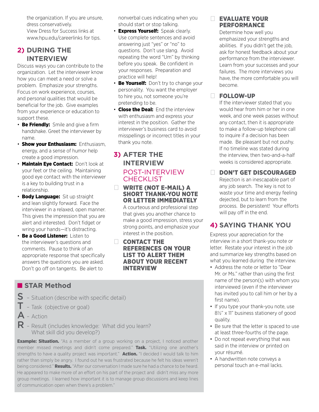the organization. If you are unsure, dress conservatively. View Dress for Success links at www.hpu.edu/careerlinks for tips.

# **2) DURING THE INTERVIEW**

Discuss ways you can contribute to the organization. Let the interviewer know how you can meet a need or solve a problem. Emphasize your strengths. Focus on work experience, courses, and personal qualities that would be beneficial for the job. Give examples from your experience or education to support these.

- Be Friendly: Smile and give a firm handshake. Greet the interviewer by name.
- **Show your Enthusiasm: Enthusiasm.** energy, and a sense of humor help create a good impression.
- **Maintain Eye Contact: Don't look at** your feet or the ceiling. Maintaining good eye contact with the interviewer is a key to building trust in a relationship.
- **· Body Language:** Sit up straight and lean slightly forward. Face the interviewer in a relaxed, open manner. This gives the impression that you are alert and interested. Don't fidget or wring your hands—it's distracting.
- **Be a Good Listener:** Listen to the interviewer's questions and comments. Pause to think of an appropriate response that specifically answers the questions you are asked. Don't go off on tangents. Be alert to

nonverbal cues indicating when you should start or stop talking.

- **· Express Yourself:** Speak clearly. Use complete sentences and avoid answering just "yes" or "no" to questions. Don't use slang. Avoid repeating the word "Um" by thinking before you speak. Be confident in your responses. Preparation and practice will help!
- Be Yourself: Don't try to change your personality. You want the employer to hire you, not someone you're pretending to be.
- **Close the Deal:** End the interview with enthusiasm and express your interest in the position. Gather the interviewer's business card to avoid misspellings or incorrect titles in your thank you note.

# **3) AFTER THE INTERVIEW** POST-INTERVIEW **CHECKLIST**

#### WRITE (NOT E-MAIL) A SHORT THANK-YOU NOTE OR LETTER IMMEDIATELY

 A courteous and professional step that gives you another chance to make a good impression, stress your strong points, and emphasize your interest in the position.

**CONTACT THE** REFERENCES ON YOUR LIST TO ALERT THEM ABOUT YOUR RECENT INTERVIEW

# ■ **STAR Method**

- S Situation (describe with specific detail)
- $\mathsf T$  Task (objective or goal)
- $\mathsf{A}$  Action

 $\mathsf{R}$  – Result (includes knowledge: What did you learn? What skill did you develop?)

**Example: Situation.** "As a member of a group working on a project, I noticed another member missed meetings and didn't come prepared." Task. "Utilizing one another's strengths to have a quality project was important." **Action.** "I decided I would talk to him rather than simply be angry. I found out he was frustrated because he felt his ideas weren't being considered." **Results.** "After our conversation I made sure he had a chance to be heard. He appeared to make more of an effort on his part of the project and didn't miss any more group meetings. I learned how important it is to manage group discussions and keep lines of communication open when there's a problem."

# **EVALUATE YOUR** PERFORMANCE

 Determine how well you emphasized your strengths and abilities. If you didn't get the job, ask for honest feedback about your performance from the interviewer. Learn from your successes and your failures. The more interviews you have, the more comfortable you will become.

# � FOLLOW-UP

 If the interviewer stated that you would hear from him or her in one week, and one week passes without any contact, then it is appropriate to make a follow-up telephone call to inquire if a decision has been made. Be pleasant but not pushy. If no timeline was stated during the interview, then two-and-a-half weeks is considered appropriate.

# DON'T GET DISCOURAGED

 Rejection is an inescapable part of any job search. The key is not to waste your time and energy feeling dejected, but to learn from the process. Be persistent! Your efforts will pay off in the end.

# **4) SAYING THANK YOU**

Express your appreciation for the interview in a short thank-you note or letter. Restate your interest in the job and summarize key strengths based on what you learned during the interview.

- Address the note or letter to "Dear Mr. or Ms." rather than using the first name of the person(s) with whom you interviewed (even if the interviewer has invited you to call him or her by a first name).
- If you type your thank-you note, use 8½" x 11" business stationery of good quality.
- Be sure that the letter is spaced to use at least three-fourths of the page.
- Do not repeat everything that was said in the interview or printed on your résumé.
- A handwritten note conveys a personal touch an e-mail lacks.